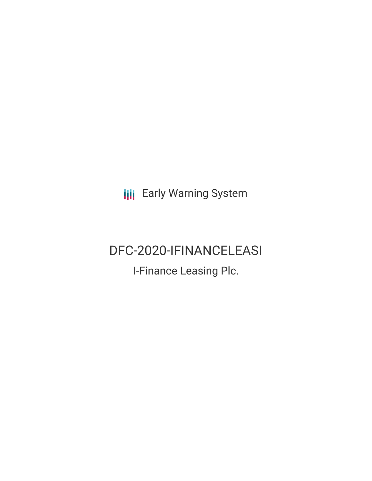**III** Early Warning System

# DFC-2020-IFINANCELEASI

I-Finance Leasing Plc.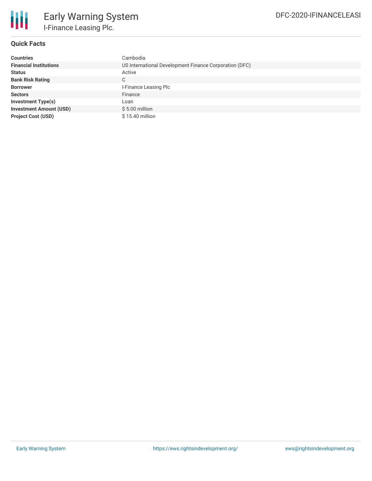

## **Quick Facts**

| <b>Countries</b>               | Cambodia                                               |
|--------------------------------|--------------------------------------------------------|
| <b>Financial Institutions</b>  | US International Development Finance Corporation (DFC) |
| <b>Status</b>                  | Active                                                 |
| <b>Bank Risk Rating</b>        | C                                                      |
| <b>Borrower</b>                | I-Finance Leasing Plc                                  |
| <b>Sectors</b>                 | Finance                                                |
| <b>Investment Type(s)</b>      | Loan                                                   |
| <b>Investment Amount (USD)</b> | $$5.00$ million                                        |
| <b>Project Cost (USD)</b>      | \$15.40 million                                        |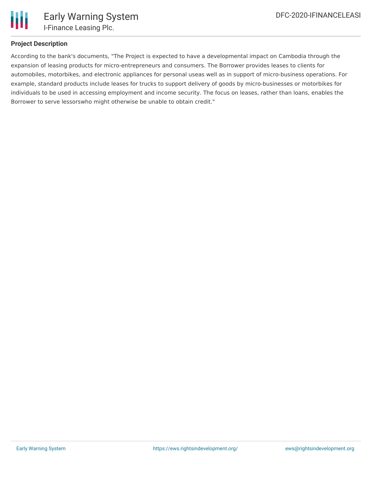

## **Project Description**

According to the bank's documents, "The Project is expected to have a developmental impact on Cambodia through the expansion of leasing products for micro-entrepreneurs and consumers. The Borrower provides leases to clients for automobiles, motorbikes, and electronic appliances for personal useas well as in support of micro-business operations. For example, standard products include leases for trucks to support delivery of goods by micro-businesses or motorbikes for individuals to be used in accessing employment and income security. The focus on leases, rather than loans, enables the Borrower to serve lessorswho might otherwise be unable to obtain credit."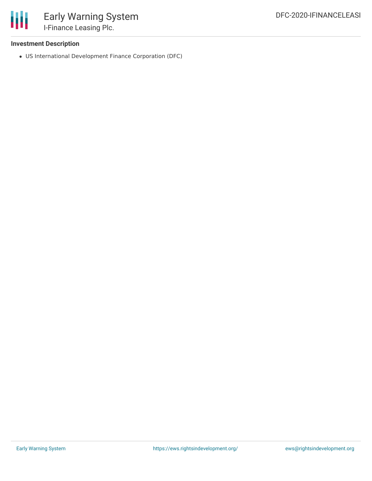

## **Investment Description**

US International Development Finance Corporation (DFC)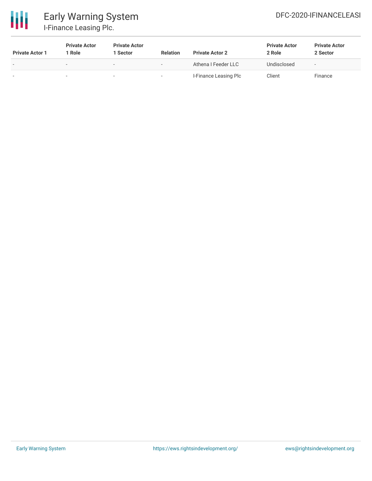

# Early Warning System I-Finance Leasing Plc.

| <b>Private Actor 1</b>   | <b>Private Actor</b><br>1 Role | <b>Private Actor</b><br>1 Sector | <b>Relation</b> | <b>Private Actor 2</b> | <b>Private Actor</b><br>2 Role | <b>Private Actor</b><br>2 Sector |
|--------------------------|--------------------------------|----------------------------------|-----------------|------------------------|--------------------------------|----------------------------------|
| $\overline{\phantom{0}}$ |                                |                                  |                 | Athena I Feeder LLC    | Undisclosed                    |                                  |
| $\overline{\phantom{a}}$ |                                |                                  | ۰               | I-Finance Leasing Plc  | Client                         | Finance                          |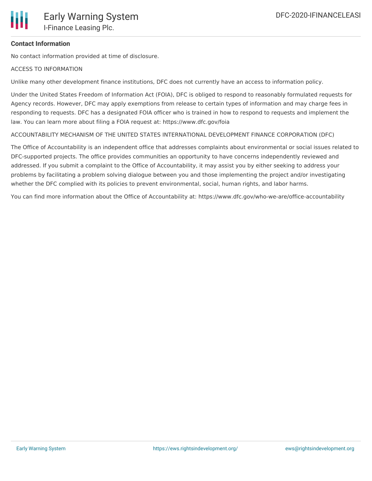## **Contact Information**

No contact information provided at time of disclosure.

#### ACCESS TO INFORMATION

Unlike many other development finance institutions, DFC does not currently have an access to information policy.

Under the United States Freedom of Information Act (FOIA), DFC is obliged to respond to reasonably formulated requests for Agency records. However, DFC may apply exemptions from release to certain types of information and may charge fees in responding to requests. DFC has a designated FOIA officer who is trained in how to respond to requests and implement the law. You can learn more about filing a FOIA request at: https://www.dfc.gov/foia

ACCOUNTABILITY MECHANISM OF THE UNITED STATES INTERNATIONAL DEVELOPMENT FINANCE CORPORATION (DFC)

The Office of Accountability is an independent office that addresses complaints about environmental or social issues related to DFC-supported projects. The office provides communities an opportunity to have concerns independently reviewed and addressed. If you submit a complaint to the Office of Accountability, it may assist you by either seeking to address your problems by facilitating a problem solving dialogue between you and those implementing the project and/or investigating whether the DFC complied with its policies to prevent environmental, social, human rights, and labor harms.

You can find more information about the Office of Accountability at: https://www.dfc.gov/who-we-are/office-accountability